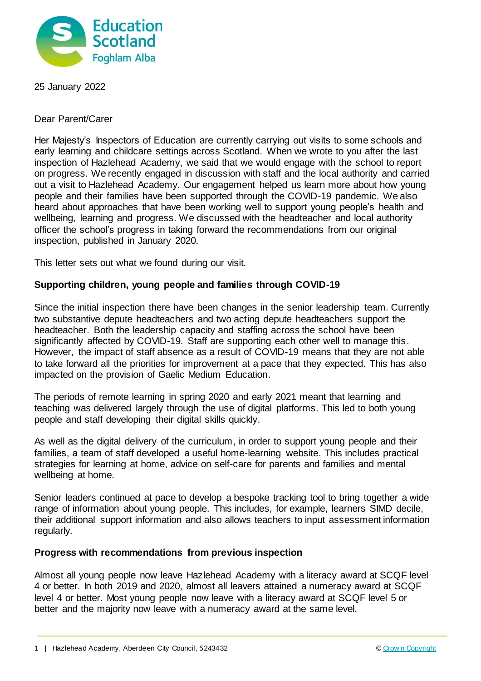

25 January 2022

Dear Parent/Carer

Her Majesty's Inspectors of Education are currently carrying out visits to some schools and early learning and childcare settings across Scotland. When we wrote to you after the last inspection of Hazlehead Academy, we said that we would engage with the school to report on progress. We recently engaged in discussion with staff and the local authority and carried out a visit to Hazlehead Academy. Our engagement helped us learn more about how young people and their families have been supported through the COVID-19 pandemic. We also heard about approaches that have been working well to support young people's health and wellbeing, learning and progress. We discussed with the headteacher and local authority officer the school's progress in taking forward the recommendations from our original inspection, published in January 2020.

This letter sets out what we found during our visit.

## **Supporting children, young people and families through COVID-19**

Since the initial inspection there have been changes in the senior leadership team. Currently two substantive depute headteachers and two acting depute headteachers support the headteacher. Both the leadership capacity and staffing across the school have been significantly affected by COVID-19. Staff are supporting each other well to manage this. However, the impact of staff absence as a result of COVID-19 means that they are not able to take forward all the priorities for improvement at a pace that they expected. This has also impacted on the provision of Gaelic Medium Education.

The periods of remote learning in spring 2020 and early 2021 meant that learning and teaching was delivered largely through the use of digital platforms. This led to both young people and staff developing their digital skills quickly.

As well as the digital delivery of the curriculum, in order to support young people and their families, a team of staff developed a useful home-learning website. This includes practical strategies for learning at home, advice on self-care for parents and families and mental wellbeing at home.

Senior leaders continued at pace to develop a bespoke tracking tool to bring together a wide range of information about young people. This includes, for example, learners SIMD decile, their additional support information and also allows teachers to input assessment information regularly.

## **Progress with recommendations from previous inspection**

Almost all young people now leave Hazlehead Academy with a literacy award at SCQF level 4 or better. In both 2019 and 2020, almost all leavers attained a numeracy award at SCQF level 4 or better. Most young people now leave with a literacy award at SCQF level 5 or better and the majority now leave with a numeracy award at the same level.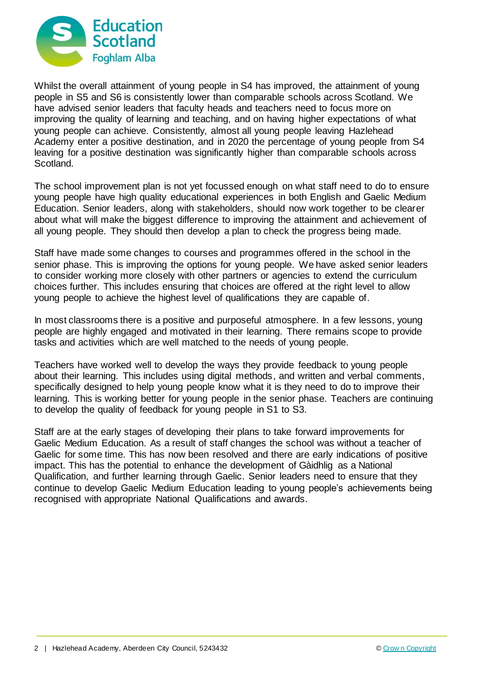

Whilst the overall attainment of young people in S4 has improved, the attainment of young people in S5 and S6 is consistently lower than comparable schools across Scotland. We have advised senior leaders that faculty heads and teachers need to focus more on improving the quality of learning and teaching, and on having higher expectations of what young people can achieve. Consistently, almost all young people leaving Hazlehead Academy enter a positive destination, and in 2020 the percentage of young people from S4 leaving for a positive destination was significantly higher than comparable schools across Scotland.

The school improvement plan is not yet focussed enough on what staff need to do to ensure young people have high quality educational experiences in both English and Gaelic Medium Education. Senior leaders, along with stakeholders, should now work together to be clearer about what will make the biggest difference to improving the attainment and achievement of all young people. They should then develop a plan to check the progress being made.

Staff have made some changes to courses and programmes offered in the school in the senior phase. This is improving the options for young people. We have asked senior leaders to consider working more closely with other partners or agencies to extend the curriculum choices further. This includes ensuring that choices are offered at the right level to allow young people to achieve the highest level of qualifications they are capable of.

In most classrooms there is a positive and purposeful atmosphere. In a few lessons, voung people are highly engaged and motivated in their learning. There remains scope to provide tasks and activities which are well matched to the needs of young people.

Teachers have worked well to develop the ways they provide feedback to young people about their learning. This includes using digital methods, and written and verbal comments, specifically designed to help young people know what it is they need to do to improve their learning. This is working better for young people in the senior phase. Teachers are continuing to develop the quality of feedback for young people in S1 to S3.

Staff are at the early stages of developing their plans to take forward improvements for Gaelic Medium Education. As a result of staff changes the school was without a teacher of Gaelic for some time. This has now been resolved and there are early indications of positive impact. This has the potential to enhance the development of Gàidhlig as a National Qualification, and further learning through Gaelic. Senior leaders need to ensure that they continue to develop Gaelic Medium Education leading to young people's achievements being recognised with appropriate National Qualifications and awards.